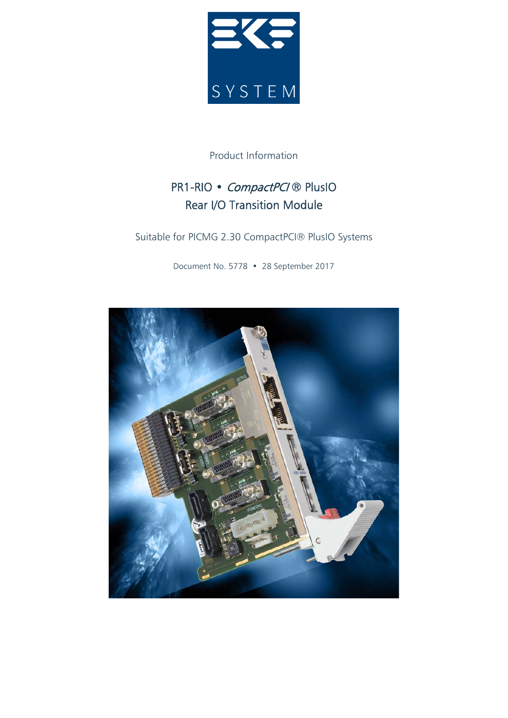

Product Information

# PR1-RIO • CompactPCI ® PlusIO Rear I/O Transition Module

Suitable for PICMG 2.30 CompactPCI® PlusIO Systems

Document No. 5778 • 28 September 2017

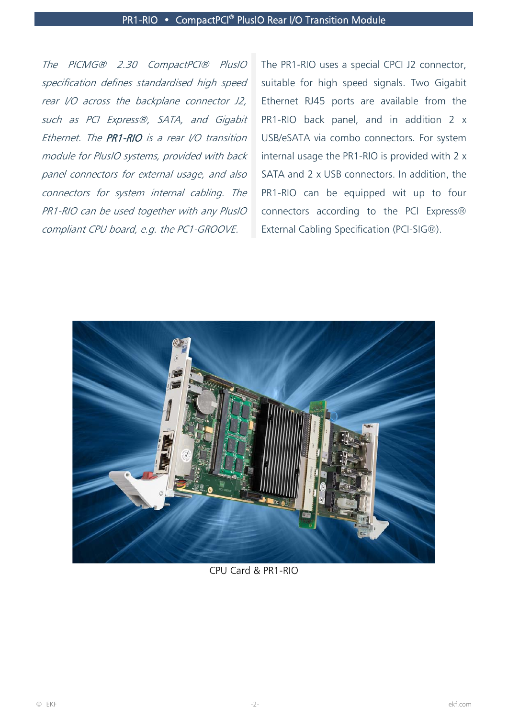The PICMG® 2.30 CompactPCI® PlusIO specification defines standardised high speed rear I/O across the backplane connector J2, such as PCI Express®, SATA, and Gigabit Ethernet. The PR1-RIO is a rear I/O transition module for PlusIO systems, provided with back panel connectors for external usage, and also connectors for system internal cabling. The PR1-RIO can be used together with any PlusIO compliant CPU board, e.g. the PC1-GROOVE.

The PR1-RIO uses a special CPCI J2 connector, suitable for high speed signals. Two Gigabit Ethernet RJ45 ports are available from the PR1-RIO back panel, and in addition 2 x USB/eSATA via combo connectors. For system internal usage the PR1-RIO is provided with 2 x SATA and 2 x USB connectors. In addition, the PR1-RIO can be equipped wit up to four connectors according to the PCI Express® External Cabling Specification (PCI-SIG®).



CPU Card & PR1-RIO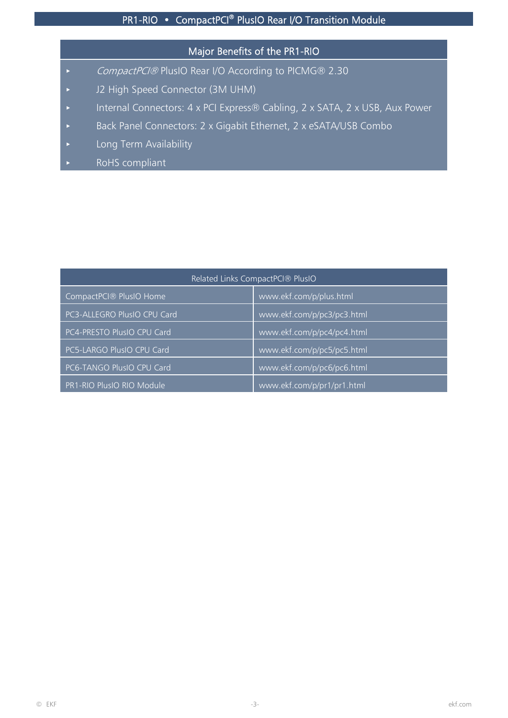#### Major Benefits of the PR1-RIO

- ▶ *CompactPCI®* PlusIO Rear I/O According to PICMG® 2.30
- < J2 High Speed Connector (3M UHM)
- < Internal Connectors: 4 x PCI Express® Cabling, 2 x SATA, 2 x USB, Aux Power
- Back Panel Connectors: 2 x Gigabit Ethernet, 2 x eSATA/USB Combo
- < Long Term Availability
- < RoHS compliant

| Related Links CompactPCI® PlusIO |                            |  |  |
|----------------------------------|----------------------------|--|--|
| CompactPCI® PlusIO Home          | www.ekf.com/p/plus.html    |  |  |
| PC3-ALLEGRO PlusIO CPU Card      | www.ekf.com/p/pc3/pc3.html |  |  |
| PC4-PRESTO PlusIO CPU Card       | www.ekf.com/p/pc4/pc4.html |  |  |
| PC5-LARGO PlusIO CPU Card        | www.ekf.com/p/pc5/pc5.html |  |  |
| PC6-TANGO PlusIO CPU Card        | www.ekf.com/p/pc6/pc6.html |  |  |
| PR1-RIO PlusIO RIO Module        | www.ekf.com/p/pr1/pr1.html |  |  |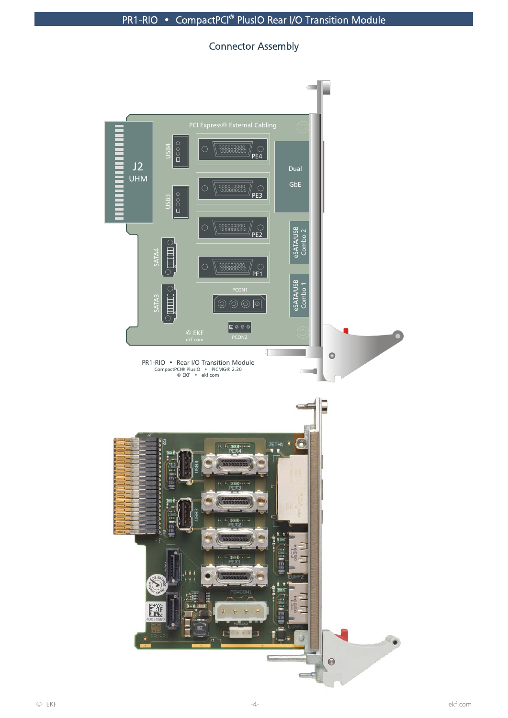### Connector Assembly

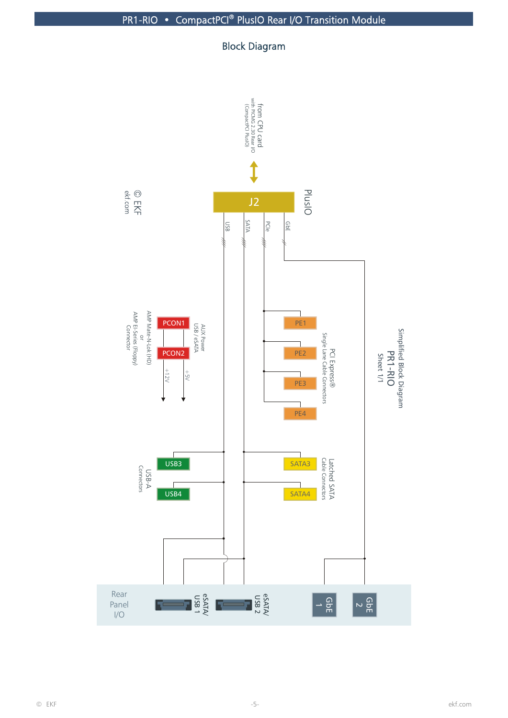# Block Diagram

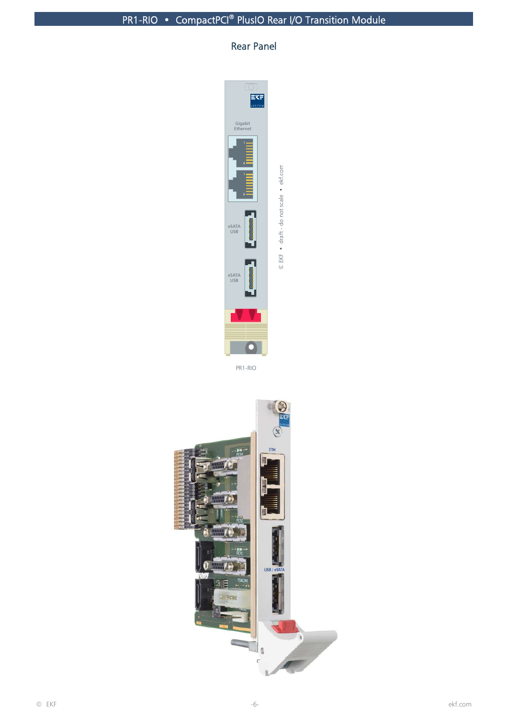# Rear Panel



PR1-RIO

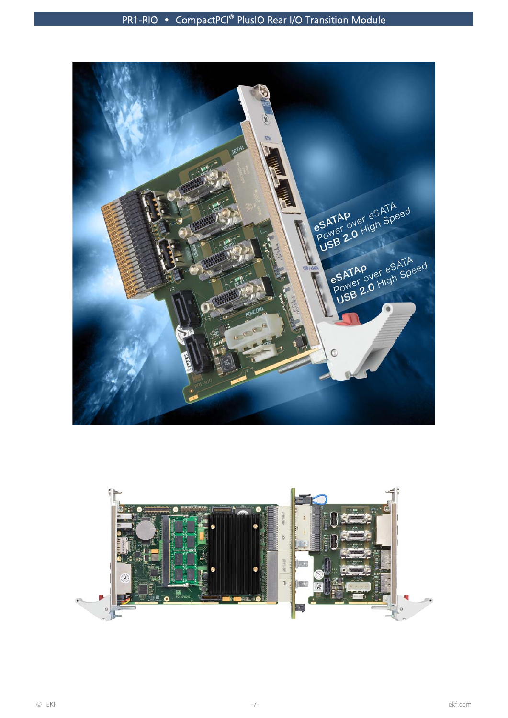

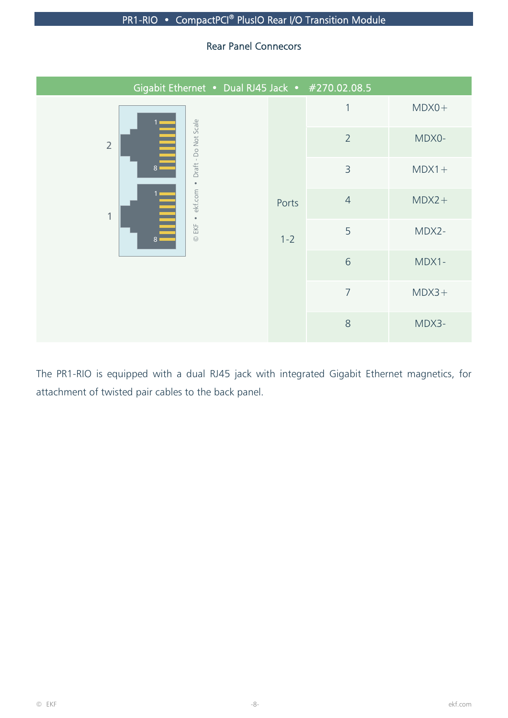## Rear Panel Connecors

| Gigabit Ethernet • Dual RJ45 Jack • #270.02.08.5 |                       |         |                |          |
|--------------------------------------------------|-----------------------|---------|----------------|----------|
|                                                  |                       |         | 1              | $MDX0+$  |
| ≣<br>$\overline{2}$                              | Draft - Do Not Scale  |         | $\overline{2}$ | MDX0-    |
| 8 <sup>1</sup>                                   | $\bullet$             |         | 3              | $MDX1 +$ |
| ≣<br>1                                           | ekf.com<br>$\bullet$  | Ports   | $\overline{4}$ | $MDX2 +$ |
| 8                                                | EKF<br>$\circledcirc$ | $1 - 2$ | 5              | MDX2-    |
|                                                  |                       |         | 6              | MDX1-    |
|                                                  |                       |         | $\overline{7}$ | $MDX3 +$ |
|                                                  |                       |         | 8              | MDX3-    |

The PR1-RIO is equipped with a dual RJ45 jack with integrated Gigabit Ethernet magnetics, for attachment of twisted pair cables to the back panel.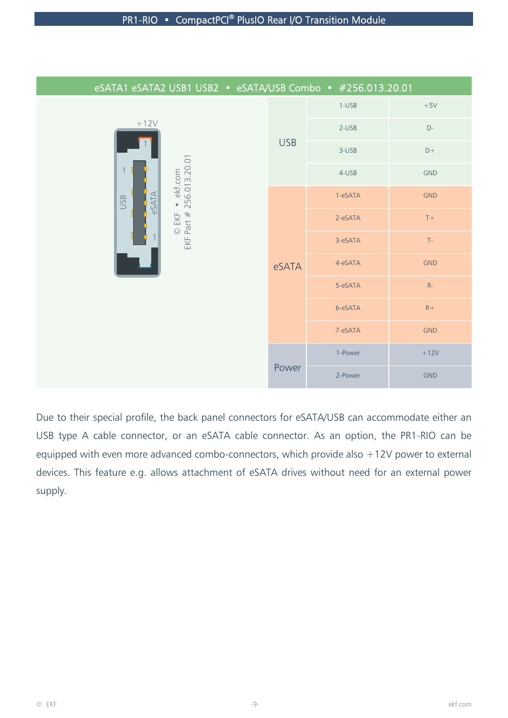

Due to their special profile, the back panel connectors for eSATA/USB can accommodate either an USB type A cable connector, or an eSATA cable connector. As an option, the PR1-RIO can be equipped with even more advanced combo-connectors, which provide also  $+12V$  power to external devices. This feature e.g. allows attachment of eSATA drives without need for an external power supply.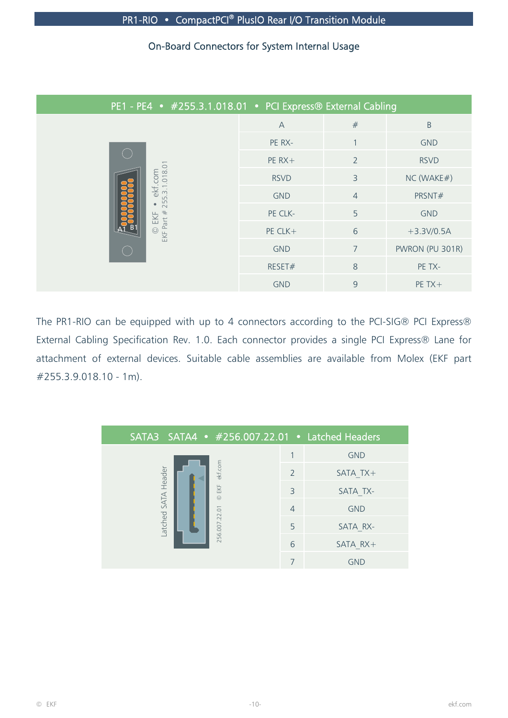## On-Board Connectors for System Internal Usage

| PE1 - PE4 • #255.3.1.018.01 • PCI Express® External Cabling                    |             |                 |                 |  |
|--------------------------------------------------------------------------------|-------------|-----------------|-----------------|--|
|                                                                                | $\forall$   | #               | $\sf B$         |  |
|                                                                                | PE RX-      |                 | <b>GND</b>      |  |
|                                                                                | $PE RX +$   | $\overline{2}$  | <b>RSVD</b>     |  |
| 255.3.1.018.01<br>com<br>ekf.<br>$\bullet$<br>$EKF$ Part $#$<br>EKF<br>$\odot$ | <b>RSVD</b> | $\overline{3}$  | $NC$ (WAKE#)    |  |
|                                                                                | <b>GND</b>  | $\overline{4}$  | PRSNT#          |  |
|                                                                                | PE CLK-     | 5               | <b>GND</b>      |  |
|                                                                                | PE CLK+     | $6\phantom{1}6$ | $+3.3V/0.5A$    |  |
|                                                                                | <b>GND</b>  | $\overline{7}$  | PWRON (PU 301R) |  |
|                                                                                | RESET#      | $8\phantom{1}$  | PE TX-          |  |
|                                                                                | <b>GND</b>  | $\overline{9}$  | $PE TX +$       |  |

The PR1-RIO can be equipped with up to 4 connectors according to the PCI-SIG® PCI Express® External Cabling Specification Rev. 1.0. Each connector provides a single PCI Express® Lane for attachment of external devices. Suitable cable assemblies are available from Molex (EKF part #255.3.9.018.10 - 1m).

| SATA3 SATA4 • #256.007.22.01 • Latched Headers |               |                |            |
|------------------------------------------------|---------------|----------------|------------|
|                                                |               |                | <b>GND</b> |
|                                                | ekf.com       | $\overline{2}$ | SATA TX+   |
| Latched SATA Header                            | © EKF         | 3              | SATA TX-   |
|                                                |               | $\overline{4}$ | <b>GND</b> |
|                                                | 256.007.22.01 | 5              | SATA RX-   |
|                                                |               | 6              | SATA RX+   |
|                                                |               |                | <b>GND</b> |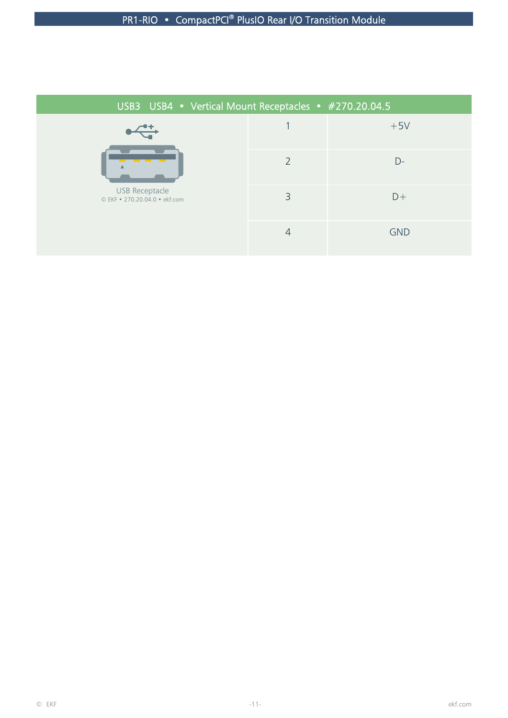| USB3 USB4 • Vertical Mount Receptacles • #270.20.04.5  |   |            |  |  |
|--------------------------------------------------------|---|------------|--|--|
| ---<br>USB Receptacle<br>© EKF • 270.20.04.0 • ekf.com |   | $+5V$      |  |  |
|                                                        |   | $D-$       |  |  |
|                                                        | 3 | $D+$       |  |  |
|                                                        | 4 | <b>GND</b> |  |  |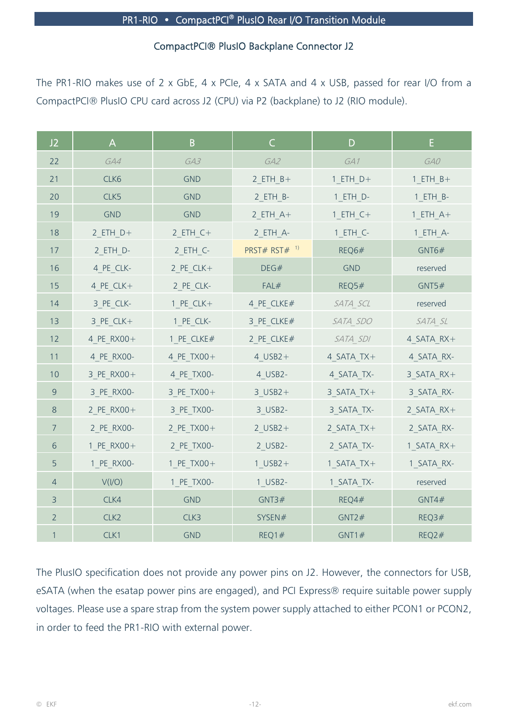### CompactPCI® PlusIO Backplane Connector J2

The PR1-RIO makes use of 2 x GbE, 4 x PCIe, 4 x SATA and 4 x USB, passed for rear I/O from a CompactPCI® PlusIO CPU card across J2 (CPU) via P2 (backplane) to J2 (RIO module).

| J2             | $\overline{A}$ | $\overline{B}$ | $\mathsf{C}$   | D            | E.           |
|----------------|----------------|----------------|----------------|--------------|--------------|
| 22             | GA4            | GA3            | GA2            | GA1          | <b>GAO</b>   |
| 21             | CLK6           | <b>GND</b>     | $2$ ETH B+     | $1$ ETH $D+$ | $1$ ETH $B+$ |
| 20             | CLK5           | <b>GND</b>     | 2 ETH B-       | 1 ETH D-     | 1 ETH B-     |
| 19             | <b>GND</b>     | <b>GND</b>     | $2$ ETH $A+$   | $1$ ETH $C+$ | $1$ ETH_A+   |
| 18             | $2$ ETH $D+$   | $2$ ETH C+     | 2 ETH A-       | 1 ETH C-     | 1 ETH A-     |
| 17             | 2 ETH D-       | 2 ETH C-       | PRST# RST# $1$ | REQ6#        | GNT6#        |
| 16             | 4 PE CLK-      | 2_PE_CLK+      | DEG#           | <b>GND</b>   | reserved     |
| 15             | 4 PE CLK+      | 2 PE CLK-      | FAL#           | REQ5#        | GNT5#        |
| 14             | 3 PE CLK-      | 1 PE CLK+      | 4 PE CLKE#     | SATA SCL     | reserved     |
| 13             | 3 PE CLK+      | 1 PE CLK-      | 3 PE CLKE#     | SATA SDO     | SATA SL      |
| 12             | 4 PE RX00+     | 1 PE CLKE#     | 2 PE CLKE#     | SATA SDI     | 4 SATA RX+   |
| 11             | 4 PE RX00-     | 4 PE TX00+     | $4$ USB2+      | 4_SATA_TX+   | 4 SATA RX-   |
| 10             | 3 PE RX00+     | 4 PE TX00-     | 4 USB2-        | 4 SATA TX-   | 3 SATA_RX+   |
| $\overline{9}$ | 3 PE RX00-     | 3 PE TX00+     | $3$ USB2+      | 3 SATA_TX+   | 3 SATA RX-   |
| 8              | 2 PE RX00+     | 3 PE TX00-     | 3 USB2-        | 3_SATA_TX-   | 2 SATA RX+   |
| $\overline{7}$ | 2 PE RX00-     | 2 PE TX00+     | $2$ USB2+      | $2$ SATA TX+ | 2 SATA RX-   |
| $\sqrt{6}$     | 1 PE RX00+     | 2 PE TX00-     | 2 USB2-        | 2_SATA_TX-   | 1 SATA RX+   |
| 5              | 1 PE RX00-     | 1 PE TX00+     | $1$ USB2+      | 1 SATA_TX+   | 1 SATA_RX-   |
| $\overline{4}$ | V(I/O)         | 1_PE TX00-     | 1 USB2-        | 1 SATA TX-   | reserved     |
| $\overline{3}$ | CLK4           | <b>GND</b>     | GNT3#          | REQ4#        | GNT4#        |
| $\overline{2}$ | CLK2           | CLK3           | SYSEN#         | GNT2#        | REQ3#        |
| $\mathbf{1}$   | CLK1           | <b>GND</b>     | REQ1#          | GNT1#        | REQ2#        |

The PlusIO specification does not provide any power pins on J2. However, the connectors for USB, eSATA (when the esatap power pins are engaged), and PCI Express® require suitable power supply voltages. Please use a spare strap from the system power supply attached to either PCON1 or PCON2, in order to feed the PR1-RIO with external power.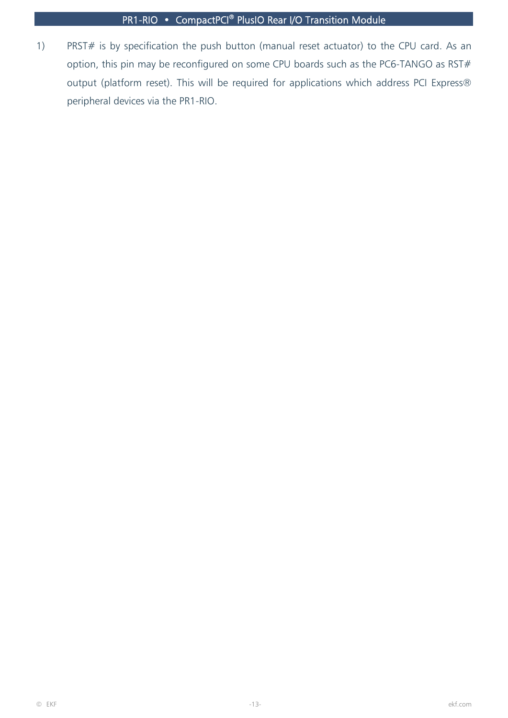1) PRST# is by specification the push button (manual reset actuator) to the CPU card. As an option, this pin may be reconfigured on some CPU boards such as the PC6-TANGO as RST# output (platform reset). This will be required for applications which address PCI Express® peripheral devices via the PR1-RIO.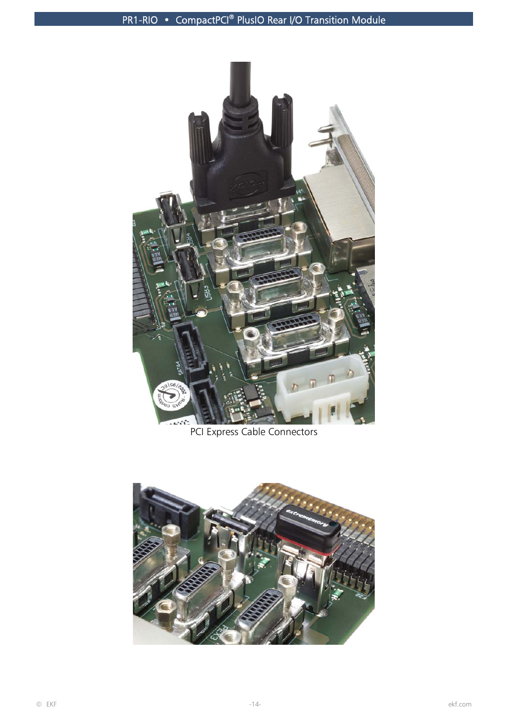

# PCI Express Cable Connectors

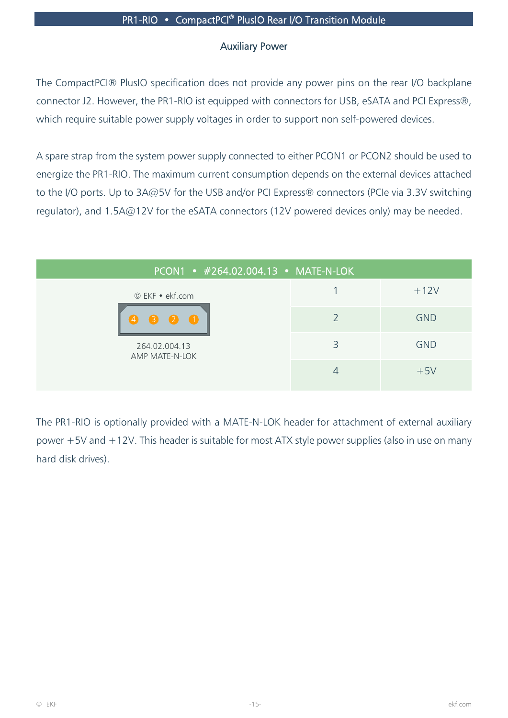## Auxiliary Power

The CompactPCI® PlusIO specification does not provide any power pins on the rear I/O backplane connector J2. However, the PR1-RIO ist equipped with connectors for USB, eSATA and PCI Express®, which require suitable power supply voltages in order to support non self-powered devices.

A spare strap from the system power supply connected to either PCON1 or PCON2 should be used to energize the PR1-RIO. The maximum current consumption depends on the external devices attached to the I/O ports. Up to 3A@5V for the USB and/or PCI Express® connectors (PCIe via 3.3V switching regulator), and 1.5A@12V for the eSATA connectors (12V powered devices only) may be needed.

| PCON1 • #264.02.004.13 • MATE-N-LOK |   |            |  |  |
|-------------------------------------|---|------------|--|--|
| © EKF • ekf.com                     |   | $+12V$     |  |  |
| -8-<br>- 0                          |   | <b>GND</b> |  |  |
| 264.02.004.13<br>AMP MATE-N-LOK     | Β | <b>GND</b> |  |  |
|                                     |   | $+5V$      |  |  |

The PR1-RIO is optionally provided with a MATE-N-LOK header for attachment of external auxiliary power +5V and +12V. This header is suitable for most ATX style power supplies (also in use on many hard disk drives).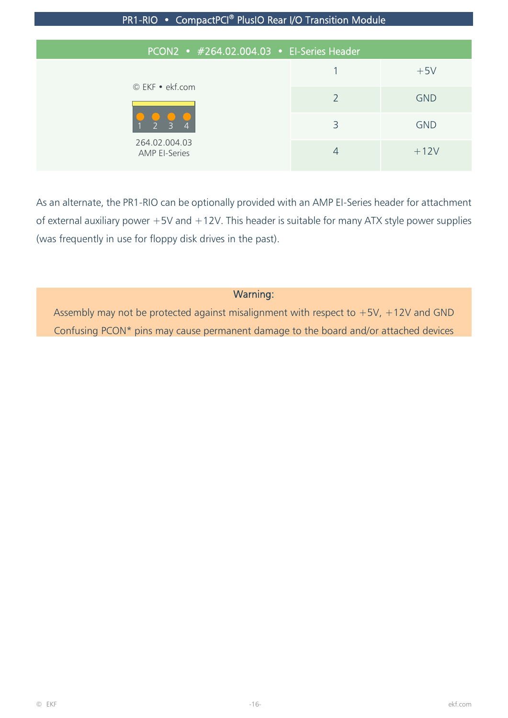| PR1-RIO • CompactPCI® PlusIO Rear I/O Transition Module |               |            |  |  |
|---------------------------------------------------------|---------------|------------|--|--|
|                                                         |               |            |  |  |
| PCON2 • #264.02.004.03 • El-Series Header               |               |            |  |  |
|                                                         |               | $+5V$      |  |  |
| © EKF • ekf.com<br>$\mathcal{L}$<br>-3                  | $\mathcal{P}$ | <b>GND</b> |  |  |
|                                                         | Β             | <b>GND</b> |  |  |
| 264.02.004.03<br><b>AMP EI-Series</b>                   |               | $+12V$     |  |  |

As an alternate, the PR1-RIO can be optionally provided with an AMP EI-Series header for attachment of external auxiliary power  $+5V$  and  $+12V$ . This header is suitable for many ATX style power supplies (was frequently in use for floppy disk drives in the past).

## Warning:

Assembly may not be protected against misalignment with respect to  $+5V$ ,  $+12V$  and GND Confusing PCON\* pins may cause permanent damage to the board and/or attached devices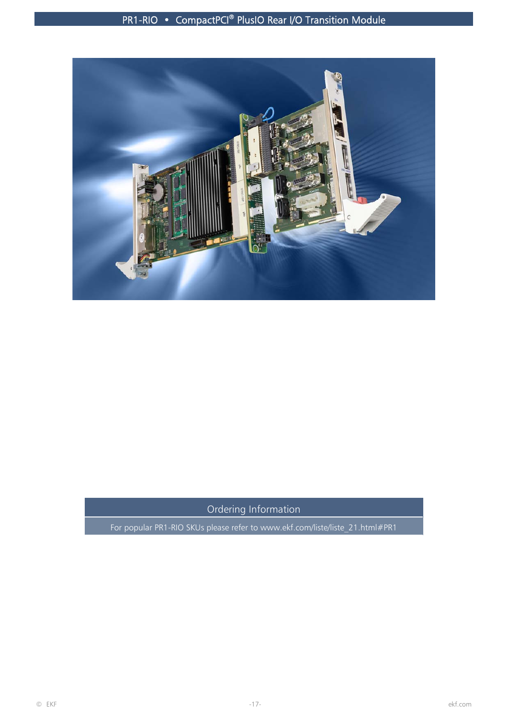

Ordering Information

For popular PR1-RIO SKUs please refer to www.ekf.com/liste/liste\_21.html#PR1